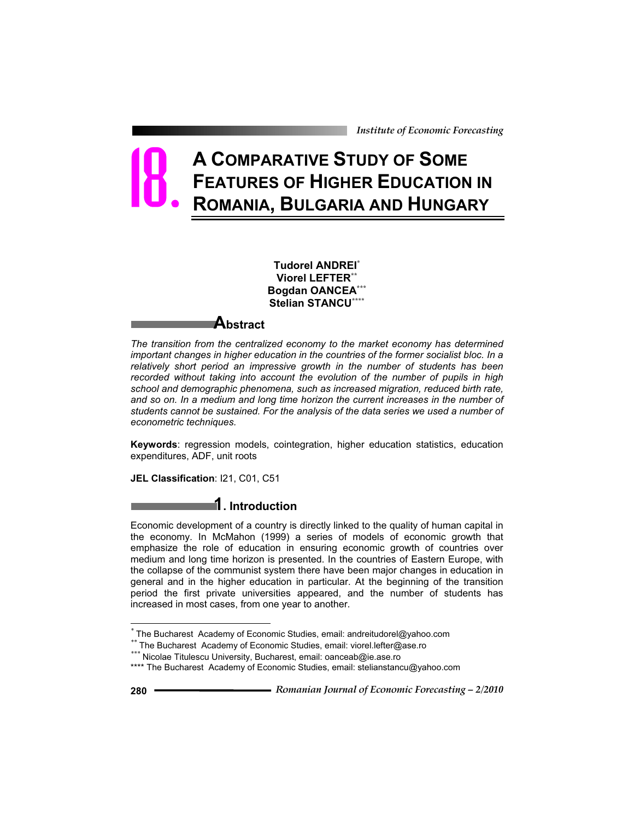*Institute of Economic Forecasting*

# **A COMPARATIVE STUDY OF SOME FEATURES OF HIGHER EDUCATION IN ROMANIA, BULGARIA AND HUNGARY** 18.

**Tudorel ANDREI\* Viorel LEFTER\*\* Bogdan OANCEA\*\*\* Stelian STANCU\*\*\*\***

# **Abstract**

*The transition from the centralized economy to the market economy has determined important changes in higher education in the countries of the former socialist bloc. In a relatively short period an impressive growth in the number of students has been recorded without taking into account the evolution of the number of pupils in high school and demographic phenomena, such as increased migration, reduced birth rate,*  and so on. In a medium and long time horizon the current increases in the number of *students cannot be sustained. For the analysis of the data series we used a number of econometric techniques.* 

**Keywords**: regression models, cointegration, higher education statistics, education expenditures, ADF, unit roots

**JEL Classification**: I21, C01, C51

# **1. Introduction**

Economic development of a country is directly linked to the quality of human capital in the economy. In McMahon (1999) a series of models of economic growth that emphasize the role of education in ensuring economic growth of countries over medium and long time horizon is presented. In the countries of Eastern Europe, with the collapse of the communist system there have been major changes in education in general and in the higher education in particular. At the beginning of the transition period the first private universities appeared, and the number of students has increased in most cases, from one year to another.

 $\overline{a}$ 

*<sup>\*</sup>* The Bucharest Academy of Economic Studies, email: andreitudorel@yahoo.com

*<sup>\*\*</sup>* The Bucharest Academy of Economic Studies, email: viorel.lefter@ase.ro

*<sup>\*\*\*</sup>* Nicolae Titulescu University, Bucharest, email: oanceab@ie.ase.ro

<sup>\*\*\*\*</sup> The Bucharest Academy of Economic Studies, email: stelianstancu@yahoo.com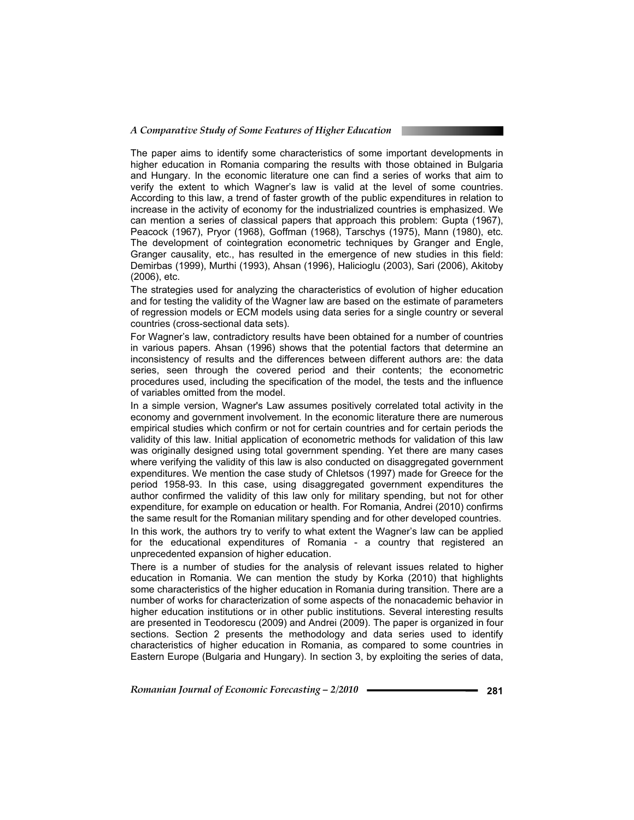#### *A Comparative Study of Some Features of Higher Education*

The paper aims to identify some characteristics of some important developments in higher education in Romania comparing the results with those obtained in Bulgaria and Hungary. In the economic literature one can find a series of works that aim to verify the extent to which Wagner's law is valid at the level of some countries. According to this law, a trend of faster growth of the public expenditures in relation to increase in the activity of economy for the industrialized countries is emphasized. We can mention a series of classical papers that approach this problem: Gupta (1967), Peacock (1967), Pryor (1968), Goffman (1968), Tarschys (1975), Mann (1980), etc. The development of cointegration econometric techniques by Granger and Engle, Granger causality, etc., has resulted in the emergence of new studies in this field: Demirbas (1999), Murthi (1993), Ahsan (1996), Halicioglu (2003), Sari (2006), Akitoby (2006), etc.

The strategies used for analyzing the characteristics of evolution of higher education and for testing the validity of the Wagner law are based on the estimate of parameters of regression models or ECM models using data series for a single country or several countries (cross-sectional data sets).

For Wagner's law, contradictory results have been obtained for a number of countries in various papers. Ahsan (1996) shows that the potential factors that determine an inconsistency of results and the differences between different authors are: the data series, seen through the covered period and their contents; the econometric procedures used, including the specification of the model, the tests and the influence of variables omitted from the model.

In a simple version, Wagner's Law assumes positively correlated total activity in the economy and government involvement. In the economic literature there are numerous empirical studies which confirm or not for certain countries and for certain periods the validity of this law. Initial application of econometric methods for validation of this law was originally designed using total government spending. Yet there are many cases where verifying the validity of this law is also conducted on disaggregated government expenditures. We mention the case study of Chletsos (1997) made for Greece for the period 1958-93. In this case, using disaggregated government expenditures the author confirmed the validity of this law only for military spending, but not for other expenditure, for example on education or health. For Romania, Andrei (2010) confirms the same result for the Romanian military spending and for other developed countries.

In this work, the authors try to verify to what extent the Wagner's law can be applied for the educational expenditures of Romania - a country that registered an unprecedented expansion of higher education.

There is a number of studies for the analysis of relevant issues related to higher education in Romania. We can mention the study by Korka (2010) that highlights some characteristics of the higher education in Romania during transition. There are a number of works for characterization of some aspects of the nonacademic behavior in higher education institutions or in other public institutions. Several interesting results are presented in Teodorescu (2009) and Andrei (2009). The paper is organized in four sections. Section 2 presents the methodology and data series used to identify characteristics of higher education in Romania, as compared to some countries in Eastern Europe (Bulgaria and Hungary). In section 3, by exploiting the series of data,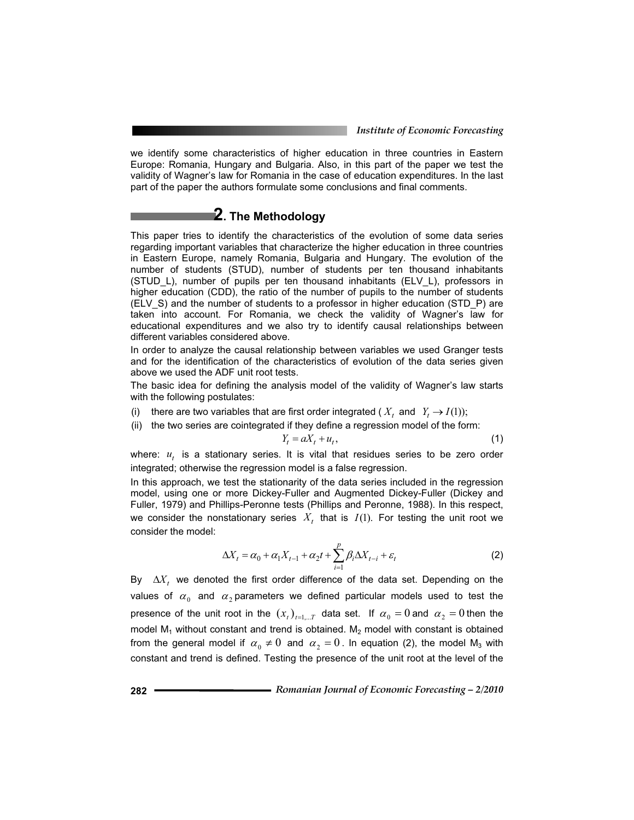we identify some characteristics of higher education in three countries in Eastern Europe: Romania, Hungary and Bulgaria. Also, in this part of the paper we test the validity of Wagner's law for Romania in the case of education expenditures. In the last part of the paper the authors formulate some conclusions and final comments.

# **2. The Methodology**

This paper tries to identify the characteristics of the evolution of some data series regarding important variables that characterize the higher education in three countries in Eastern Europe, namely Romania, Bulgaria and Hungary. The evolution of the number of students (STUD), number of students per ten thousand inhabitants (STUD\_L), number of pupils per ten thousand inhabitants (ELV\_L), professors in higher education (CDD), the ratio of the number of pupils to the number of students (ELV\_S) and the number of students to a professor in higher education (STD\_P) are taken into account. For Romania, we check the validity of Wagner's law for educational expenditures and we also try to identify causal relationships between different variables considered above.

In order to analyze the causal relationship between variables we used Granger tests and for the identification of the characteristics of evolution of the data series given above we used the ADF unit root tests.

The basic idea for defining the analysis model of the validity of Wagner's law starts with the following postulates:

(i) there are two variables that are first order integrated ( $X_t$ , and  $Y_t \to I(1)$ );

(ii) the two series are cointegrated if they define a regression model of the form:  $Y_t = aX_t + u_t$ ,

$$
(1)
$$

where:  $u_t$  is a stationary series. It is vital that residues series to be zero order integrated; otherwise the regression model is a false regression.

In this approach, we test the stationarity of the data series included in the regression model, using one or more Dickey-Fuller and Augmented Dickey-Fuller (Dickey and Fuller, 1979) and Phillips-Peronne tests (Phillips and Peronne, 1988). In this respect, we consider the nonstationary series  $X_t$  that is  $I(1)$ . For testing the unit root we consider the model:

$$
\Delta X_t = \alpha_0 + \alpha_1 X_{t-1} + \alpha_2 t + \sum_{i=1}^p \beta_i \Delta X_{t-i} + \varepsilon_t
$$
 (2)

By  $\Delta X_t$  we denoted the first order difference of the data set. Depending on the values of  $\alpha_0$  and  $\alpha_2$  parameters we defined particular models used to test the presence of the unit root in the  $(x_t)_{t=\ldots T}$  data set. If  $\alpha_0 = 0$  and  $\alpha_2 = 0$  then the model  $M_1$  without constant and trend is obtained.  $M_2$  model with constant is obtained from the general model if  $\alpha_0 \neq 0$  and  $\alpha_2 = 0$ . In equation (2), the model M<sub>3</sub> with constant and trend is defined. Testing the presence of the unit root at the level of the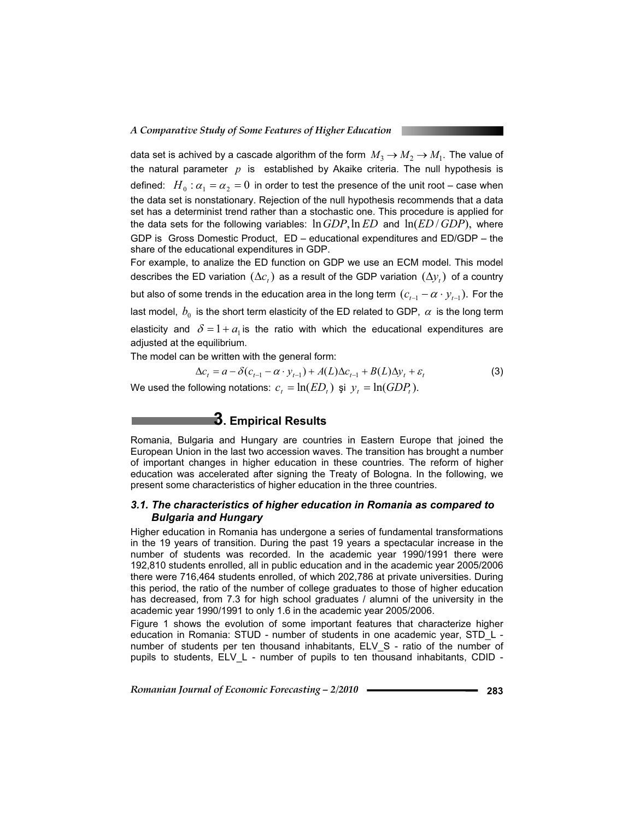data set is achived by a cascade algorithm of the form  $M_3 \to M_2 \to M_1$ . The value of the natural parameter *p* is established by Akaike criteria. The null hypothesis is defined:  $H_0: \alpha_1 = \alpha_2 = 0$  in order to test the presence of the unit root – case when the data set is nonstationary. Rejection of the null hypothesis recommends that a data set has a determinist trend rather than a stochastic one. This procedure is applied for the data sets for the following variables: ln*GDP*,ln *ED* and ln(*ED* / *GDP*), where GDP is Gross Domestic Product, ED – educational expenditures and ED/GDP – the share of the educational expenditures in GDP.

For example, to analize the ED function on GDP we use an ECM model. This model describes the ED variation  $(\Delta c_i)$  as a result of the GDP variation  $(\Delta y_i)$  of a country but also of some trends in the education area in the long term  $(c_{t-1} - \alpha \cdot y_{t-1})$ . For the last model,  $b_0$  is the short term elasticity of the ED related to GDP,  $\alpha$  is the long term elasticity and  $\delta = 1 + a_1$  is the ratio with which the educational expenditures are adjusted at the equilibrium.

The model can be written with the general form:

$$
\Delta c_t = a - \delta(c_{t-1} - \alpha \cdot y_{t-1}) + A(L)\Delta c_{t-1} + B(L)\Delta y_t + \varepsilon_t
$$
\n(3)

We used the following notations:  $c_t = \ln (ED_t)$  și  $y_t = \ln (GDP_t)$ .

# **3. Empirical Results**

Romania, Bulgaria and Hungary are countries in Eastern Europe that joined the European Union in the last two accession waves. The transition has brought a number of important changes in higher education in these countries. The reform of higher education was accelerated after signing the Treaty of Bologna. In the following, we present some characteristics of higher education in the three countries.

## *3.1. The characteristics of higher education in Romania as compared to Bulgaria and Hungary*

Higher education in Romania has undergone a series of fundamental transformations in the 19 years of transition. During the past 19 years a spectacular increase in the number of students was recorded. In the academic year 1990/1991 there were 192,810 students enrolled, all in public education and in the academic year 2005/2006 there were 716,464 students enrolled, of which 202,786 at private universities. During this period, the ratio of the number of college graduates to those of higher education has decreased, from 7.3 for high school graduates / alumni of the university in the academic year 1990/1991 to only 1.6 in the academic year 2005/2006.

Figure 1 shows the evolution of some important features that characterize higher education in Romania: STUD - number of students in one academic year, STD\_L number of students per ten thousand inhabitants, ELV S - ratio of the number of pupils to students, ELV\_L - number of pupils to ten thousand inhabitants, CDID -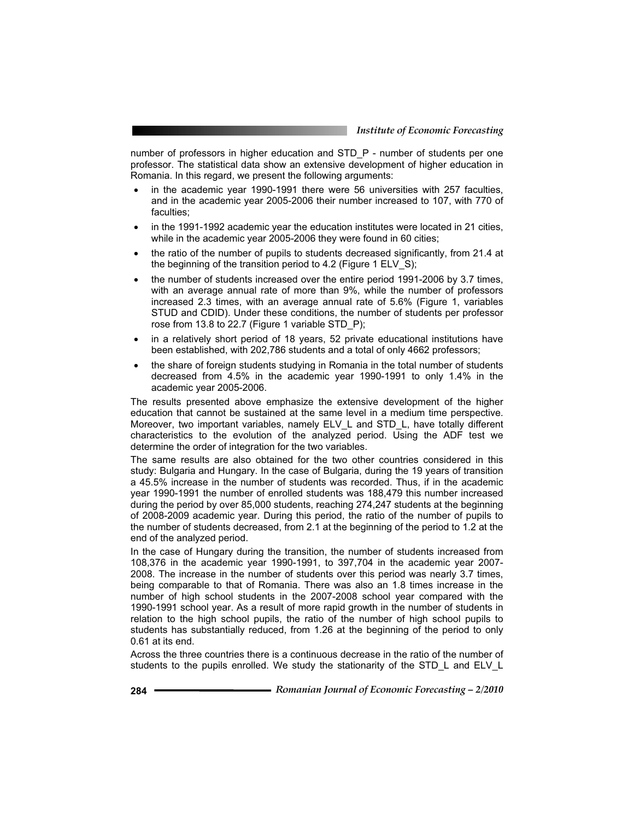number of professors in higher education and STD\_P - number of students per one professor. The statistical data show an extensive development of higher education in Romania. In this regard, we present the following arguments:

- in the academic year 1990-1991 there were 56 universities with 257 faculties, and in the academic year 2005-2006 their number increased to 107, with 770 of faculties;
- in the 1991-1992 academic year the education institutes were located in 21 cities, while in the academic year 2005-2006 they were found in 60 cities;
- the ratio of the number of pupils to students decreased significantly, from 21.4 at the beginning of the transition period to 4.2 (Figure 1 ELV\_S);
- the number of students increased over the entire period 1991-2006 by 3.7 times, with an average annual rate of more than 9%, while the number of professors increased 2.3 times, with an average annual rate of 5.6% (Figure 1, variables STUD and CDID). Under these conditions, the number of students per professor rose from 13.8 to 22.7 (Figure 1 variable STD\_P);
- in a relatively short period of 18 years, 52 private educational institutions have been established, with 202,786 students and a total of only 4662 professors;
- the share of foreign students studying in Romania in the total number of students decreased from 4.5% in the academic year 1990-1991 to only 1.4% in the academic year 2005-2006.

The results presented above emphasize the extensive development of the higher education that cannot be sustained at the same level in a medium time perspective. Moreover, two important variables, namely ELV\_L and STD\_L, have totally different characteristics to the evolution of the analyzed period. Using the ADF test we determine the order of integration for the two variables.

The same results are also obtained for the two other countries considered in this study: Bulgaria and Hungary. In the case of Bulgaria, during the 19 years of transition a 45.5% increase in the number of students was recorded. Thus, if in the academic year 1990-1991 the number of enrolled students was 188,479 this number increased during the period by over 85,000 students, reaching 274,247 students at the beginning of 2008-2009 academic year. During this period, the ratio of the number of pupils to the number of students decreased, from 2.1 at the beginning of the period to 1.2 at the end of the analyzed period.

In the case of Hungary during the transition, the number of students increased from 108,376 in the academic year 1990-1991, to 397,704 in the academic year 2007- 2008. The increase in the number of students over this period was nearly 3.7 times, being comparable to that of Romania. There was also an 1.8 times increase in the number of high school students in the 2007-2008 school year compared with the 1990-1991 school year. As a result of more rapid growth in the number of students in relation to the high school pupils, the ratio of the number of high school pupils to students has substantially reduced, from 1.26 at the beginning of the period to only 0.61 at its end.

Across the three countries there is a continuous decrease in the ratio of the number of students to the pupils enrolled. We study the stationarity of the STD\_L and ELV\_L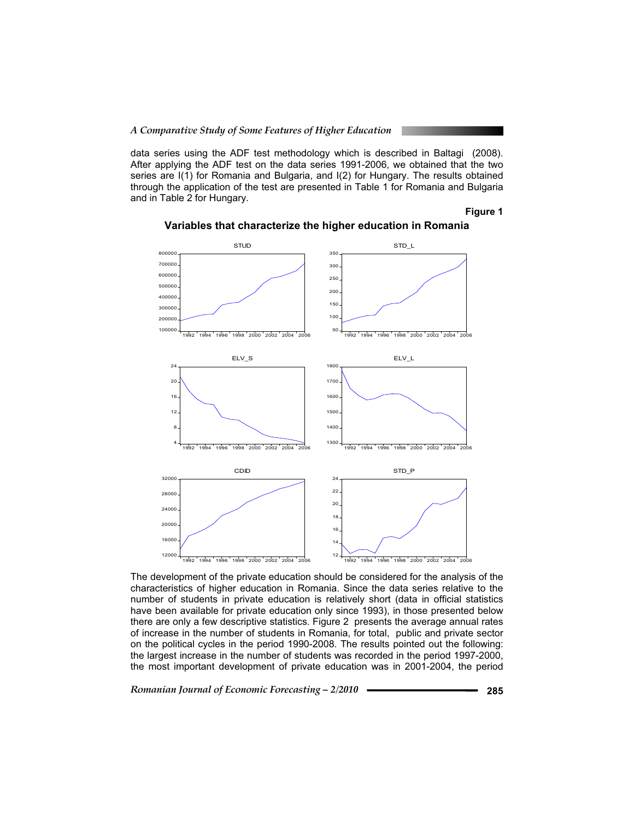data series using the ADF test methodology which is described in Baltagi (2008). After applying the ADF test on the data series 1991-2006, we obtained that the two series are I(1) for Romania and Bulgaria, and I(2) for Hungary. The results obtained through the application of the test are presented in Table 1 for Romania and Bulgaria and in Table 2 for Hungary.

**Figure 1** 



**Variables that characterize the higher education in Romania** 

The development of the private education should be considered for the analysis of the characteristics of higher education in Romania. Since the data series relative to the number of students in private education is relatively short (data in official statistics have been available for private education only since 1993), in those presented below there are only a few descriptive statistics. Figure 2 presents the average annual rates of increase in the number of students in Romania, for total, public and private sector on the political cycles in the period 1990-2008. The results pointed out the following: the largest increase in the number of students was recorded in the period 1997-2000, the most important development of private education was in 2001-2004, the period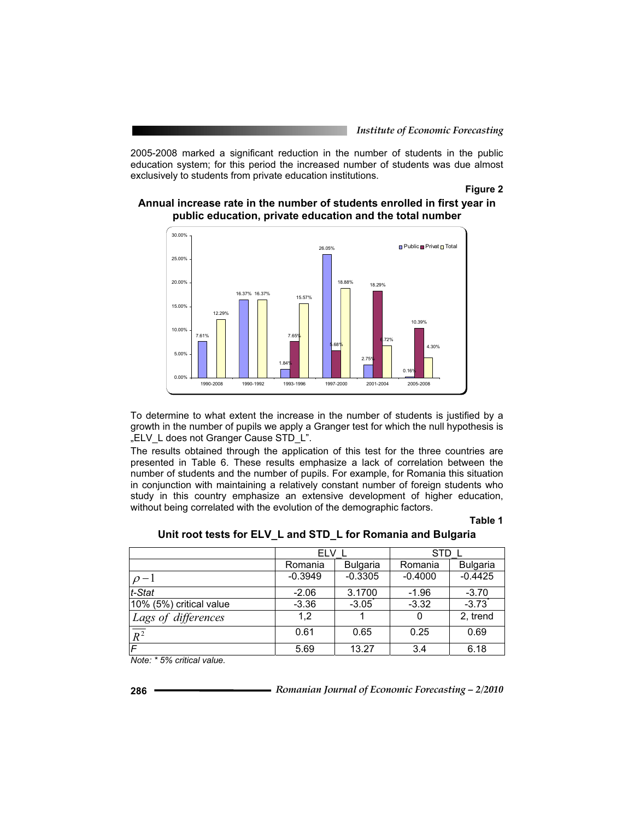2005-2008 marked a significant reduction in the number of students in the public education system; for this period the increased number of students was due almost exclusively to students from private education institutions.

## **Figure 2**



**Annual increase rate in the number of students enrolled in first year in public education, private education and the total number** 

To determine to what extent the increase in the number of students is justified by a growth in the number of pupils we apply a Granger test for which the null hypothesis is "ELV L does not Granger Cause STD L".

The results obtained through the application of this test for the three countries are presented in Table 6. These results emphasize a lack of correlation between the number of students and the number of pupils. For example, for Romania this situation in conjunction with maintaining a relatively constant number of foreign students who study in this country emphasize an extensive development of higher education, without being correlated with the evolution of the demographic factors.

#### **Table 1**

|                         | ELV                        |           | STD.      |                 |
|-------------------------|----------------------------|-----------|-----------|-----------------|
|                         | <b>Bulgaria</b><br>Romania |           | Romania   | <b>Bulgaria</b> |
| $\rho-1$                | $-0.3949$                  | $-0.3305$ | $-0.4000$ | $-0.4425$       |
| $ t\text{-}Stat$        | $-2.06$                    | 3.1700    | $-1.96$   | $-3.70$         |
| 10% (5%) critical value | $-3.36$                    | $-3.05$   | $-3.32$   | $-3.73$         |
| Lags of differences     | 1.2                        |           | 0         | 2, trend        |
| $\sqrt{\frac{1}{R^2}}$  | 0.61                       | 0.65      | 0.25      | 0.69            |
| F                       | 5.69                       | 13.27     | 3.4       | 6.18            |

**Unit root tests for ELV\_L and STD\_L for Romania and Bulgaria** 

*Note: \* 5% critical value.*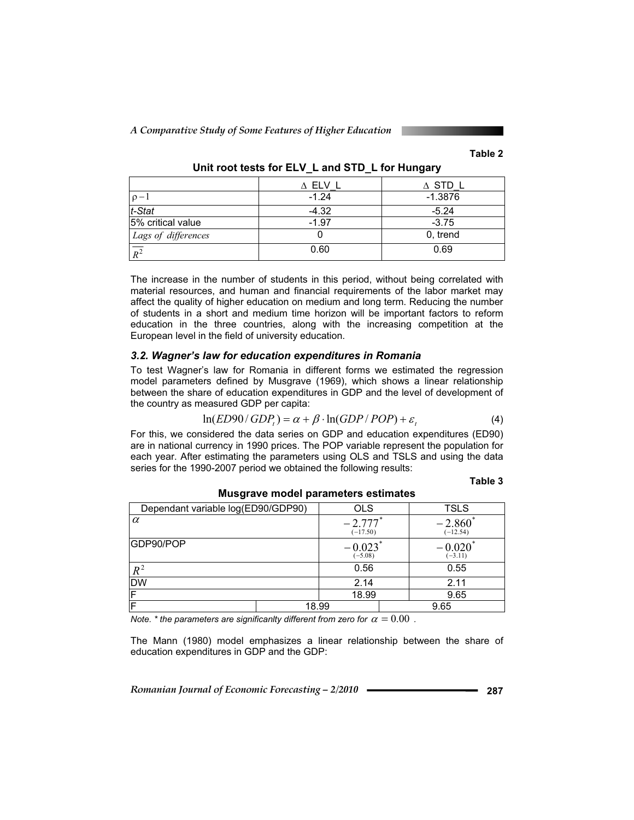*A Comparative Study of Some Features of Higher Education* 

## **Table 2**

|                     | $\Delta$ ELV I | $\Delta$ STD L |
|---------------------|----------------|----------------|
| $\rho-1$            | $-1.24$        | $-1.3876$      |
| t-Stat              | $-4.32$        | $-5.24$        |
| 5% critical value   | $-1.97$        | $-3.75$        |
| Lags of differences |                | 0, trend       |
| $\overline{p^2}$    | 0.60           | 0.69           |

**Unit root tests for ELV\_L and STD\_L for Hungary** 

The increase in the number of students in this period, without being correlated with material resources, and human and financial requirements of the labor market may affect the quality of higher education on medium and long term. Reducing the number of students in a short and medium time horizon will be important factors to reform education in the three countries, along with the increasing competition at the European level in the field of university education.

## *3.2. Wagner's law for education expenditures in Romania*

To test Wagner's law for Romania in different forms we estimated the regression model parameters defined by Musgrave (1969), which shows a linear relationship between the share of education expenditures in GDP and the level of development of the country as measured GDP per capita:

$$
\ln(ED90/GDP_t) = \alpha + \beta \cdot \ln(GDP/POP) + \varepsilon_t
$$
\n(4)

For this, we considered the data series on GDP and education expenditures (ED90) are in national currency in 1990 prices. The POP variable represent the population for each year. After estimating the parameters using OLS and TSLS and using the data series for the 1990-2007 period we obtained the following results:

#### **Table 3**

| Dependant variable log(ED90/GDP90) | OLS   |                                     | <b>TSLS</b> |                                    |  |
|------------------------------------|-------|-------------------------------------|-------------|------------------------------------|--|
| $\alpha$                           |       | $-2.777$ <sup>*</sup><br>$(-17.50)$ |             | $-2.860^*$<br>$(-12.54)$           |  |
| GDP90/POP                          |       | $-0.023$<br>$(-5.08)$               |             | $-0.020$ <sup>*</sup><br>$(-3.11)$ |  |
| $R^2$                              |       | 0.56                                |             | 0.55                               |  |
| DW                                 |       | 2.14                                |             | 2.11                               |  |
|                                    |       | 18.99                               |             | 9.65                               |  |
|                                    | 18.99 |                                     |             | 9.65                               |  |

**Musgrave model parameters estimates** 

*Note.* \* the parameters are significanlty different from zero for  $\alpha = 0.00$ .

The Mann (1980) model emphasizes a linear relationship between the share of education expenditures in GDP and the GDP: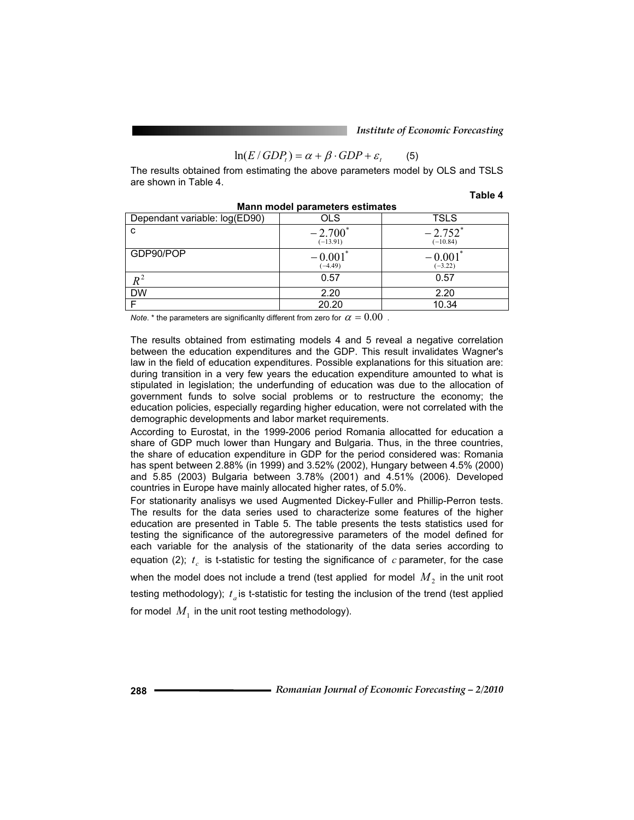$$
\ln(E/GDP_t) = \alpha + \beta \cdot GDP + \varepsilon_t \tag{5}
$$

The results obtained from estimating the above parameters model by OLS and TSLS are shown in Table 4.

**Table 4**

| <b>Mann model parameters estimates</b> |                                    |                                     |  |  |  |  |
|----------------------------------------|------------------------------------|-------------------------------------|--|--|--|--|
| Dependant variable: log(ED90)          | OLS                                | <b>TSLS</b>                         |  |  |  |  |
| C                                      | $-2.700^*$<br>$(-13.91)$           | $-2.752$ <sup>*</sup><br>$(-10.84)$ |  |  |  |  |
| GDP90/POP                              | $-0.001$ <sup>*</sup><br>$(-4.49)$ | $-0.001$ <sup>*</sup><br>$(-3.22)$  |  |  |  |  |
|                                        | 0.57                               | 0.57                                |  |  |  |  |
| <b>DW</b>                              | 2.20                               | 2.20                                |  |  |  |  |
|                                        | 20.20                              | 10.34                               |  |  |  |  |

**Mann model parameters estimates** 

*Note.* \* the parameters are significanlty different from zero for  $\alpha = 0.00$ .

The results obtained from estimating models 4 and 5 reveal a negative correlation between the education expenditures and the GDP. This result invalidates Wagner's law in the field of education expenditures. Possible explanations for this situation are: during transition in a very few years the education expenditure amounted to what is stipulated in legislation; the underfunding of education was due to the allocation of government funds to solve social problems or to restructure the economy; the education policies, especially regarding higher education, were not correlated with the demographic developments and labor market requirements.

According to Eurostat, in the 1999-2006 period Romania allocatted for education a share of GDP much lower than Hungary and Bulgaria. Thus, in the three countries, the share of education expenditure in GDP for the period considered was: Romania has spent between 2.88% (in 1999) and 3.52% (2002), Hungary between 4.5% (2000) and 5.85 (2003) Bulgaria between 3.78% (2001) and 4.51% (2006). Developed countries in Europe have mainly allocated higher rates, of 5.0%.

For stationarity analisys we used Augmented Dickey-Fuller and Phillip-Perron tests. The results for the data series used to characterize some features of the higher education are presented in Table 5. The table presents the tests statistics used for testing the significance of the autoregressive parameters of the model defined for each variable for the analysis of the stationarity of the data series according to equation (2);  $t_c$  is t-statistic for testing the significance of  $c$  parameter, for the case when the model does not include a trend (test applied for model  $M<sub>2</sub>$  in the unit root testing methodology);  $t_a$  is t-statistic for testing the inclusion of the trend (test applied

for model  $M_1$  in the unit root testing methodology).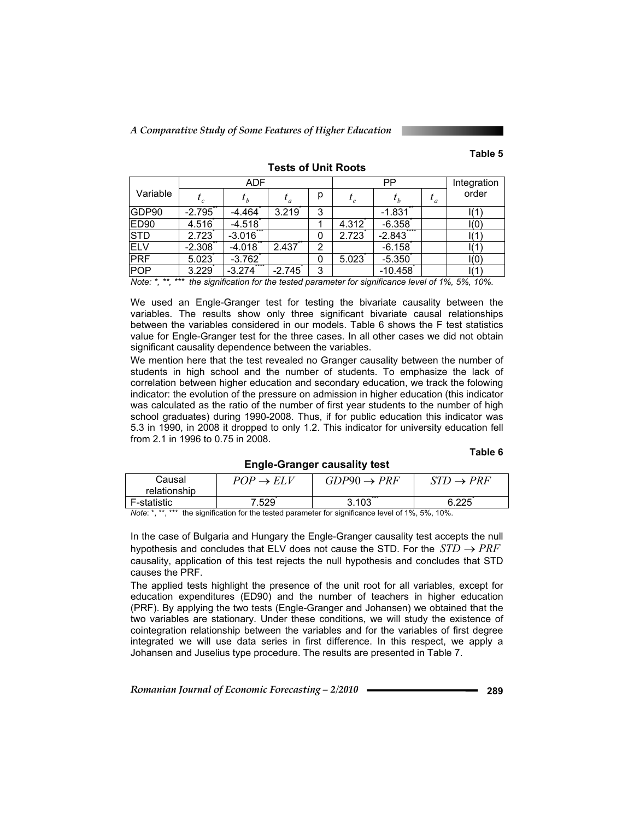*A Comparative Study of Some Features of Higher Education* 

## **Table 5**

|          | <b>ADF</b>       |          |   | PP    |           |           | Integration     |
|----------|------------------|----------|---|-------|-----------|-----------|-----------------|
|          |                  |          | р | $t_c$ |           | $\iota_a$ | order           |
| $-2.795$ | $-4.464$         | 3.219    | 3 |       | $-1.831$  |           | I(1)            |
| 4.516    | $-4.518$         |          |   | 4.312 | $-6.358$  |           | I(0)            |
| 2.723    | $-3.016$         |          | 0 | 2.723 | $-2.843$  |           | I(1)            |
| $-2.308$ | $-4.018$         | 2.437    | 2 |       | $-6.158$  |           | I(1)            |
| 5.023    | $-3.762$         |          | 0 | 5.023 | $-5.350$  |           | I(0)            |
| 3.229    | ****<br>$-3.274$ | $-2.745$ | 3 |       | $-10.458$ |           | $\mathsf{I}(1)$ |
|          |                  |          |   |       |           |           |                 |

**Tests of Unit Roots** 

*Note: \*, \*\*, \*\*\* the signification for the tested parameter for significance level of 1%, 5%, 10%.* 

We used an Engle-Granger test for testing the bivariate causality between the variables. The results show only three significant bivariate causal relationships between the variables considered in our models. Table 6 shows the F test statistics value for Engle-Granger test for the three cases. In all other cases we did not obtain significant causality dependence between the variables.

We mention here that the test revealed no Granger causality between the number of students in high school and the number of students. To emphasize the lack of correlation between higher education and secondary education, we track the folowing indicator: the evolution of the pressure on admission in higher education (this indicator was calculated as the ratio of the number of first year students to the number of high school graduates) during 1990-2008. Thus, if for public education this indicator was 5.3 in 1990, in 2008 it dropped to only 1.2. This indicator for university education fell from 2.1 in 1996 to 0.75 in 2008.

#### **Table 6**

**Engle-Granger causality test** 

| Causal                                                                                                  | $POP \rightarrow ELV$ | $GDP90 \rightarrow PRF$ | $\rightarrow$ PRF |  |
|---------------------------------------------------------------------------------------------------------|-----------------------|-------------------------|-------------------|--|
| relationship                                                                                            |                       |                         |                   |  |
| F-statistic                                                                                             | 7.529                 | 3.103                   | 6.225             |  |
| $Moto:$ * ** *** the cignification for the tected perspecter for cignificance level of 10/ $E_0$ / 100/ |                       |                         |                   |  |

the signification for the tested parameter for significance level of 1%, 5%, 10%.

In the case of Bulgaria and Hungary the Engle-Granger causality test accepts the null hypothesis and concludes that ELV does not cause the STD. For the  $STD \rightarrow PRF$ causality, application of this test rejects the null hypothesis and concludes that STD causes the PRF.

The applied tests highlight the presence of the unit root for all variables, except for education expenditures (ED90) and the number of teachers in higher education (PRF). By applying the two tests (Engle-Granger and Johansen) we obtained that the two variables are stationary. Under these conditions, we will study the existence of cointegration relationship between the variables and for the variables of first degree integrated we will use data series in first difference. In this respect, we apply a Johansen and Juselius type procedure. The results are presented in Table 7.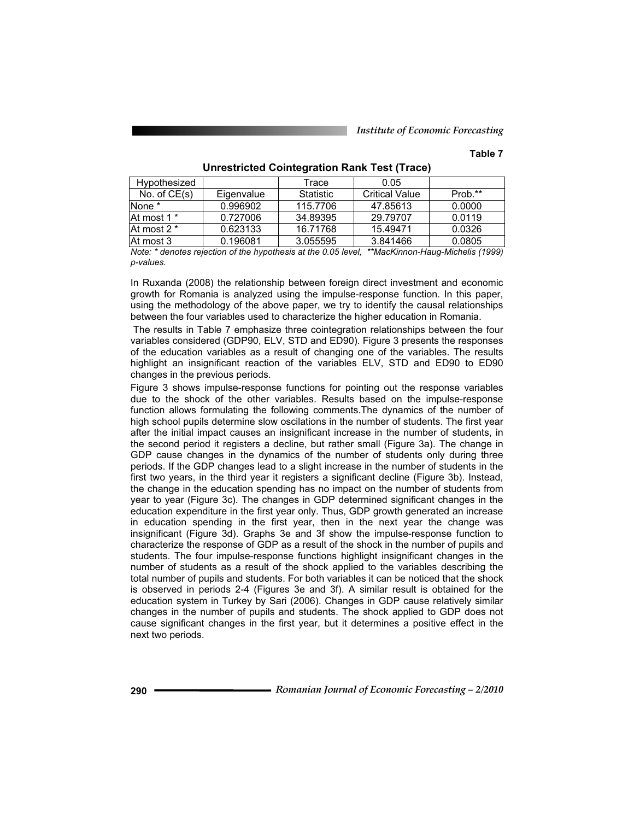## **Table 7**

| Hypothesized   |            | Trace            | 0.05                  |         |
|----------------|------------|------------------|-----------------------|---------|
| No. of $CE(s)$ | Eigenvalue | <b>Statistic</b> | <b>Critical Value</b> | Prob.** |
| lNone *        | 0.996902   | 115,7706         | 47.85613              | 0.0000  |
| At most 1 *    | 0.727006   | 34.89395         | 29.79707              | 0.0119  |
| At most 2 *    | 0.623133   | 16.71768         | 15.49471              | 0.0326  |
| lAt most 3     | 0.196081   | 3.055595         | 3.841466              | 0.0805  |

**Unrestricted Cointegration Rank Test (Trace)** 

*Note: \* denotes rejection of the hypothesis at the 0.05 level, \*\*MacKinnon-Haug-Michelis (1999) p-values.*

In Ruxanda (2008) the relationship between foreign direct investment and economic growth for Romania is analyzed using the impulse-response function. In this paper, using the methodology of the above paper, we try to identify the causal relationships between the four variables used to characterize the higher education in Romania.

 The results in Table 7 emphasize three cointegration relationships between the four variables considered (GDP90, ELV, STD and ED90). Figure 3 presents the responses of the education variables as a result of changing one of the variables. The results highlight an insignificant reaction of the variables ELV, STD and ED90 to ED90 changes in the previous periods.

Figure 3 shows impulse-response functions for pointing out the response variables due to the shock of the other variables. Results based on the impulse-response function allows formulating the following comments.The dynamics of the number of high school pupils determine slow oscilations in the number of students. The first year after the initial impact causes an insignificant increase in the number of students, in the second period it registers a decline, but rather small (Figure 3a). The change in GDP cause changes in the dynamics of the number of students only during three periods. If the GDP changes lead to a slight increase in the number of students in the first two years, in the third year it registers a significant decline (Figure 3b). Instead, the change in the education spending has no impact on the number of students from year to year (Figure 3c). The changes in GDP determined significant changes in the education expenditure in the first year only. Thus, GDP growth generated an increase in education spending in the first year, then in the next year the change was insignificant (Figure 3d). Graphs 3e and 3f show the impulse-response function to characterize the response of GDP as a result of the shock in the number of pupils and students. The four impulse-response functions highlight insignificant changes in the number of students as a result of the shock applied to the variables describing the total number of pupils and students. For both variables it can be noticed that the shock is observed in periods 2-4 (Figures 3e and 3f). A similar result is obtained for the education system in Turkey by Sari (2006). Changes in GDP cause relatively similar changes in the number of pupils and students. The shock applied to GDP does not cause significant changes in the first year, but it determines a positive effect in the next two periods.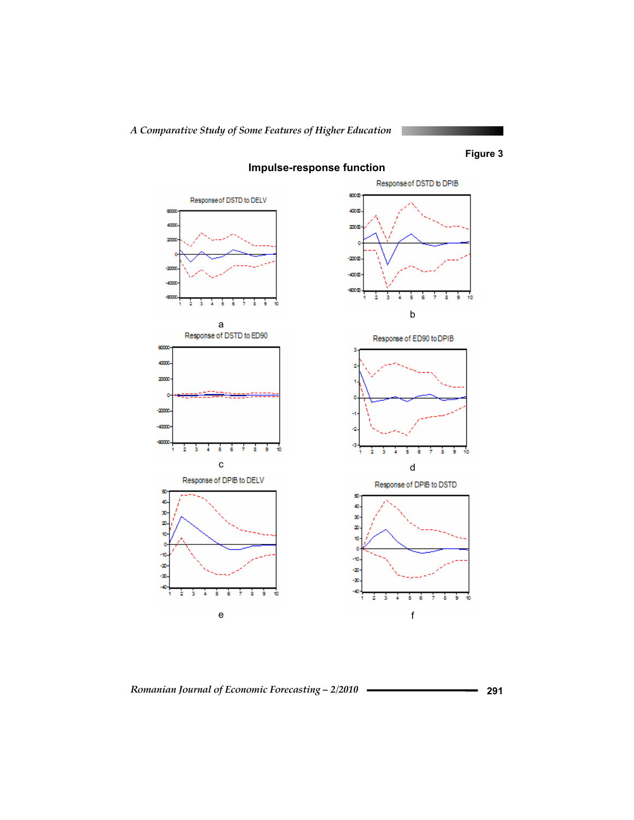

**Impulse-response function**

*Romanian Journal of Economic Forecasting – 2/2010* **291**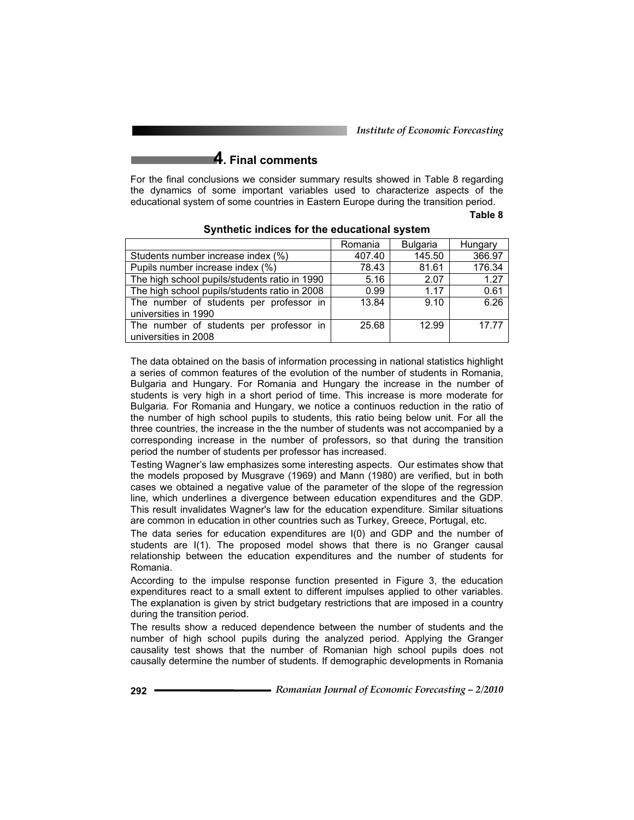*Institute of Economic Forecasting*

# **4. Final comments**

For the final conclusions we consider summary results showed in Table 8 regarding the dynamics of some important variables used to characterize aspects of the educational system of some countries in Eastern Europe during the transition period.

#### **Table 8**

|                                               | Romania | <b>Bulgaria</b> | Hungary |
|-----------------------------------------------|---------|-----------------|---------|
| Students number increase index (%)            | 407.40  | 145.50          | 366.97  |
| Pupils number increase index (%)              | 78.43   | 81.61           | 176.34  |
| The high school pupils/students ratio in 1990 | 5.16    | 2.07            | 1.27    |
| The high school pupils/students ratio in 2008 | 0.99    | 1.17            | 0.61    |
| The number of students per professor in       | 13.84   | 9.10            | 6.26    |
| universities in 1990                          |         |                 |         |
| The number of students per professor in       | 25.68   | 12.99           | 17.77   |
| universities in 2008                          |         |                 |         |

#### **Synthetic indices for the educational system**

The data obtained on the basis of information processing in national statistics highlight a series of common features of the evolution of the number of students in Romania, Bulgaria and Hungary. For Romania and Hungary the increase in the number of students is very high in a short period of time. This increase is more moderate for Bulgaria. For Romania and Hungary, we notice a continuos reduction in the ratio of the number of high school pupils to students, this ratio being below unit. For all the three countries, the increase in the the number of students was not accompanied by a corresponding increase in the number of professors, so that during the transition period the number of students per professor has increased.

Testing Wagner's law emphasizes some interesting aspects. Our estimates show that the models proposed by Musgrave (1969) and Mann (1980) are verified, but in both cases we obtained a negative value of the parameter of the slope of the regression line, which underlines a divergence between education expenditures and the GDP. This result invalidates Wagner's law for the education expenditure. Similar situations are common in education in other countries such as Turkey, Greece, Portugal, etc.

The data series for education expenditures are I(0) and GDP and the number of students are I(1). The proposed model shows that there is no Granger causal relationship between the education expenditures and the number of students for Romania.

According to the impulse response function presented in Figure 3, the education expenditures react to a small extent to different impulses applied to other variables. The explanation is given by strict budgetary restrictions that are imposed in a country during the transition period.

The results show a reduced dependence between the number of students and the number of high school pupils during the analyzed period. Applying the Granger causality test shows that the number of Romanian high school pupils does not causally determine the number of students. If demographic developments in Romania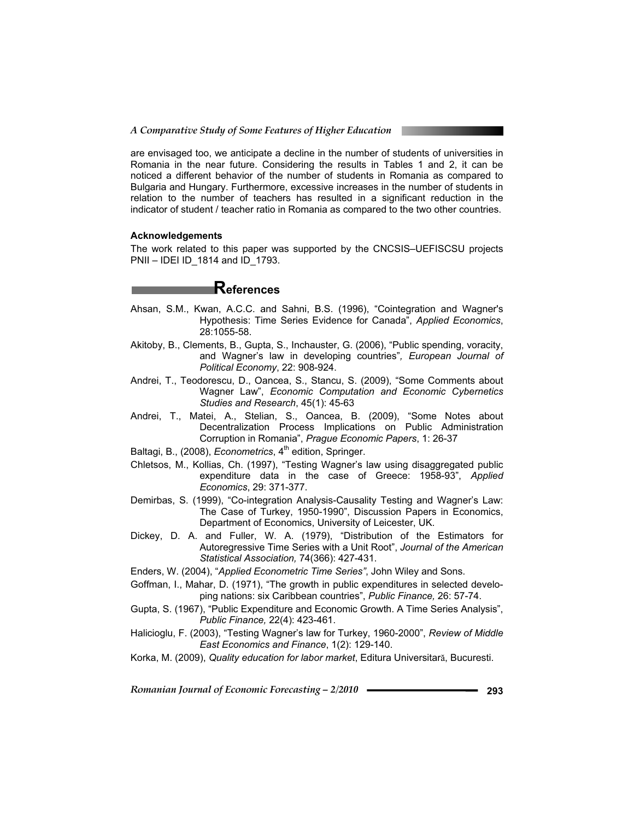are envisaged too, we anticipate a decline in the number of students of universities in Romania in the near future. Considering the results in Tables 1 and 2, it can be noticed a different behavior of the number of students in Romania as compared to Bulgaria and Hungary. Furthermore, excessive increases in the number of students in relation to the number of teachers has resulted in a significant reduction in the indicator of student / teacher ratio in Romania as compared to the two other countries.

#### **Acknowledgements**

The work related to this paper was supported by the CNCSIS–UEFISCSU projects PNII – IDEI ID\_1814 and ID\_1793.

# **References**

- Ahsan, S.M., Kwan, A.C.C. and Sahni, B.S. (1996), "Cointegration and Wagner's Hypothesis: Time Series Evidence for Canada", *Applied Economics*, 28:1055-58.
- Akitoby, B., Clements, B., Gupta, S., Inchauster, G. (2006), "Public spending, voracity, and Wagner's law in developing countries"*, European Journal of Political Economy*, 22: 908-924.
- Andrei, T., Teodorescu, D., Oancea, S., Stancu, S. (2009), "Some Comments about Wagner Law", *Economic Computation and Economic Cybernetics Studies and Research*, 45(1): 45-63
- Andrei, T., Matei, A., Stelian, S., Oancea, B. (2009), "Some Notes about Decentralization Process Implications on Public Administration Corruption in Romania", *Prague Economic Papers*, 1: 26-37
- Baltagi, B., (2008), *Econometrics*, 4<sup>th</sup> edition, Springer.
- Chletsos, M., Kollias, Ch. (1997), "Testing Wagner's law using disaggregated public expenditure data in the case of Greece: 1958-93", *Applied Economics*, 29: 371-377.
- Demirbas, S. (1999), "Co-integration Analysis-Causality Testing and Wagner's Law: The Case of Turkey, 1950-1990", Discussion Papers in Economics, Department of Economics, University of Leicester, UK.
- Dickey, D. A. and Fuller, W. A. (1979), "Distribution of the Estimators for Autoregressive Time Series with a Unit Root", *Journal of the American Statistical Association,* 74(366): 427-431.
- Enders, W. (2004), "*Applied Econometric Time Series"*, John Wiley and Sons.
- Goffman, I., Mahar, D. (1971), "The growth in public expenditures in selected developing nations: six Caribbean countries", *Public Finance,* 26: 57-74.
- Gupta, S. (1967), "Public Expenditure and Economic Growth. A Time Series Analysis", *Public Finance,* 22(4): 423-461.
- Halicioglu, F. (2003), "Testing Wagner's law for Turkey, 1960-2000", *Review of Middle East Economics and Finance*, 1(2): 129-140.
- Korka, M. (2009), *Quality education for labor market*, Editura Universitară, Bucuresti.